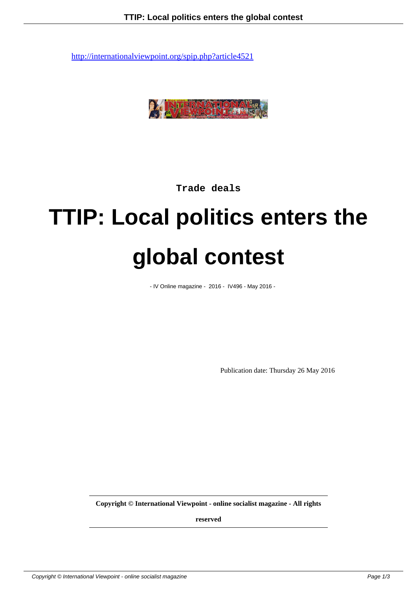

**Trade deals**

## **TTIP: Local politics enters the global contest**

- IV Online magazine - 2016 - IV496 - May 2016 -

Publication date: Thursday 26 May 2016

**Copyright © International Viewpoint - online socialist magazine - All rights**

**reserved**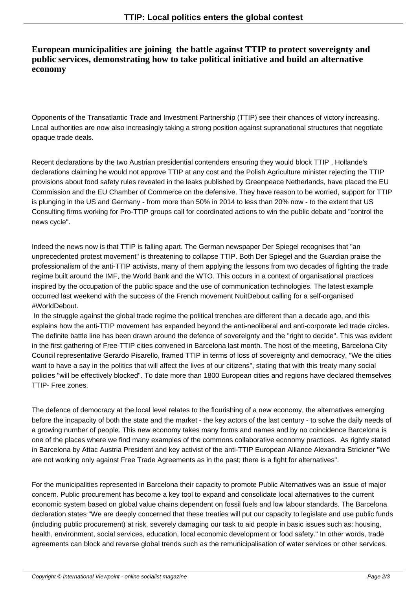## **European municipalities are joining the battle against TTIP to protect sovereignty and public services, demonstrating how to take political initiative and build an alternative economy**

Opponents of the Transatlantic Trade and Investment Partnership (TTIP) see their chances of victory increasing. Local authorities are now also increasingly taking a strong position against supranational structures that negotiate opaque trade deals.

Recent declarations by the two Austrian presidential contenders ensuring they would block TTIP , Hollande's declarations claiming he would not approve TTIP at any cost and the Polish Agriculture minister rejecting the TTIP provisions about food safety rules revealed in the leaks published by Greenpeace Netherlands, have placed the EU Commission and the EU Chamber of Commerce on the defensive. They have reason to be worried, support for TTIP is plunging in the US and Germany - from more than 50% in 2014 to less than 20% now - to the extent that US Consulting firms working for Pro-TTIP groups call for coordinated actions to win the public debate and "control the news cycle".

Indeed the news now is that TTIP is falling apart. The German newspaper Der Spiegel recognises that "an unprecedented protest movement" is threatening to collapse TTIP. Both Der Spiegel and the Guardian praise the professionalism of the anti-TTIP activists, many of them applying the lessons from two decades of fighting the trade regime built around the IMF, the World Bank and the WTO. This occurs in a context of organisational practices inspired by the occupation of the public space and the use of communication technologies. The latest example occurred last weekend with the success of the French movement NuitDebout calling for a self-organised #WorldDebout.

 In the struggle against the global trade regime the political trenches are different than a decade ago, and this explains how the anti-TTIP movement has expanded beyond the anti-neoliberal and anti-corporate led trade circles. The definite battle line has been drawn around the defence of sovereignty and the "right to decide". This was evident in the first gathering of Free-TTIP cities convened in Barcelona last month. The host of the meeting, Barcelona City Council representative Gerardo Pisarello, framed TTIP in terms of loss of sovereignty and democracy, "We the cities want to have a say in the politics that will affect the lives of our citizens", stating that with this treaty many social policies "will be effectively blocked". To date more than 1800 European cities and regions have declared themselves TTIP- Free zones.

The defence of democracy at the local level relates to the flourishing of a new economy, the alternatives emerging before the incapacity of both the state and the market - the key actors of the last century - to solve the daily needs of a growing number of people. This new economy takes many forms and names and by no coincidence Barcelona is one of the places where we find many examples of the commons collaborative economy practices. As rightly stated in Barcelona by Attac Austria President and key activist of the anti-TTIP European Alliance Alexandra Strickner "We are not working only against Free Trade Agreements as in the past; there is a fight for alternatives".

For the municipalities represented in Barcelona their capacity to promote Public Alternatives was an issue of major concern. Public procurement has become a key tool to expand and consolidate local alternatives to the current economic system based on global value chains dependent on fossil fuels and low labour standards. The Barcelona declaration states "We are deeply concerned that these treaties will put our capacity to legislate and use public funds (including public procurement) at risk, severely damaging our task to aid people in basic issues such as: housing, health, environment, social services, education, local economic development or food safety." In other words, trade agreements can block and reverse global trends such as the remunicipalisation of water services or other services.